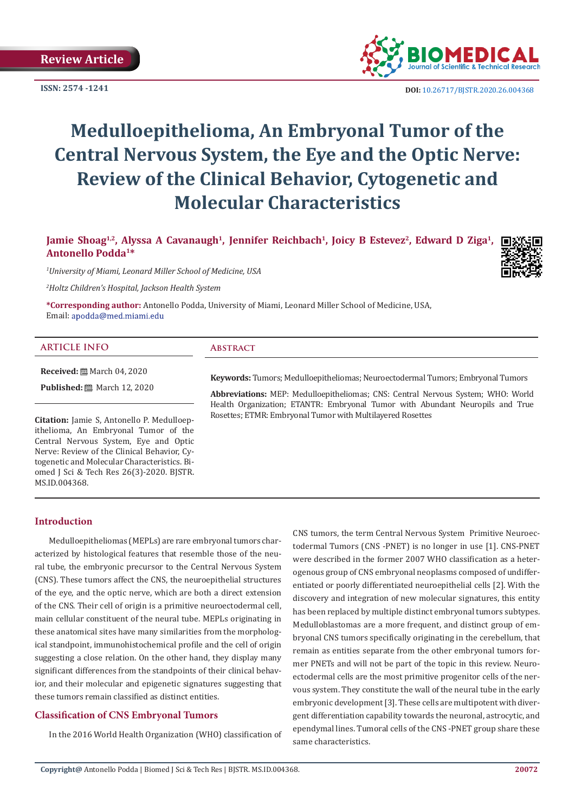**ISSN: 2574 -1241**



 **DOI:** [10.26717/BJSTR.2020.26.004368](http://dx.doi.org/10.26717/BJSTR.2020.26.004368)

# **Medulloepithelioma, An Embryonal Tumor of the Central Nervous System, the Eye and the Optic Nerve: Review of the Clinical Behavior, Cytogenetic and Molecular Characteristics**

# Jamie Shoag<sup>1,2</sup>, Alyssa A Cavanaugh<sup>1</sup>, Jennifer Reichbach<sup>1</sup>, Joicy B Estevez<sup>2</sup>, Edward D Ziga<sup>1</sup>, **Antonello Podda1\***

*1 University of Miami, Leonard Miller School of Medicine, USA*

*2 Holtz Children's Hospital, Jackson Health System*

**\*Corresponding author:** Antonello Podda, University of Miami, Leonard Miller School of Medicine, USA, Email: apodda@med.miami.edu

### **ARTICLE INFO Abstract**

**Received:** March 04, 2020

**Published:** ■ March 12, 2020

**Citation:** Jamie S, Antonello P. Medulloepithelioma, An Embryonal Tumor of the Central Nervous System, Eye and Optic Nerve: Review of the Clinical Behavior, Cytogenetic and Molecular Characteristics. Biomed J Sci & Tech Res 26(3)-2020. BJSTR. MS.ID.004368.

**Keywords:** Tumors; Medulloepitheliomas; Neuroectodermal Tumors; Embryonal Tumors

**Abbreviations:** MEP: Medulloepitheliomas; CNS: Central Nervous System; WHO: World Health Organization; ETANTR: Embryonal Tumor with Abundant Neuropils and True Rosettes; ETMR: Embryonal Tumor with Multilayered Rosettes

#### **Introduction**

Medulloepitheliomas (MEPLs) are rare embryonal tumors characterized by histological features that resemble those of the neural tube, the embryonic precursor to the Central Nervous System (CNS). These tumors affect the CNS, the neuroepithelial structures of the eye, and the optic nerve, which are both a direct extension of the CNS. Their cell of origin is a primitive neuroectodermal cell, main cellular constituent of the neural tube. MEPLs originating in these anatomical sites have many similarities from the morphological standpoint, immunohistochemical profile and the cell of origin suggesting a close relation. On the other hand, they display many significant differences from the standpoints of their clinical behavior, and their molecular and epigenetic signatures suggesting that these tumors remain classified as distinct entities.

# **Classification of CNS Embryonal Tumors**

In the 2016 World Health Organization (WHO) classification of

CNS tumors, the term Central Nervous System Primitive Neuroectodermal Tumors (CNS -PNET) is no longer in use [1]. CNS-PNET were described in the former 2007 WHO classification as a heterogenous group of CNS embryonal neoplasms composed of undifferentiated or poorly differentiated neuroepithelial cells [2]. With the discovery and integration of new molecular signatures, this entity has been replaced by multiple distinct embryonal tumors subtypes. Medulloblastomas are a more frequent, and distinct group of embryonal CNS tumors specifically originating in the cerebellum, that remain as entities separate from the other embryonal tumors former PNETs and will not be part of the topic in this review. Neuroectodermal cells are the most primitive progenitor cells of the nervous system. They constitute the wall of the neural tube in the early embryonic development [3]. These cells are multipotent with divergent differentiation capability towards the neuronal, astrocytic, and ependymal lines. Tumoral cells of the CNS -PNET group share these same characteristics.

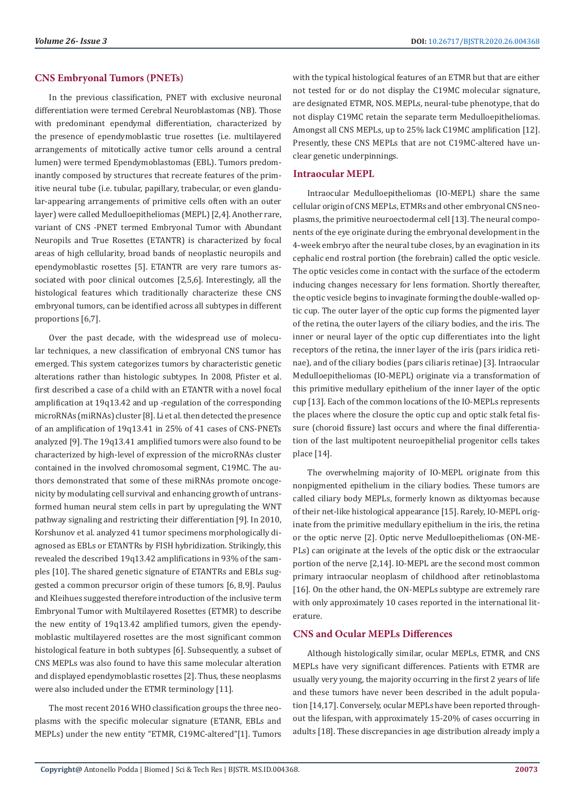# **CNS Embryonal Tumors (PNETs)**

In the previous classification, PNET with exclusive neuronal differentiation were termed Cerebral Neuroblastomas (NB). Those with predominant ependymal differentiation, characterized by the presence of ependymoblastic true rosettes (i.e. multilayered arrangements of mitotically active tumor cells around a central lumen) were termed Ependymoblastomas (EBL). Tumors predominantly composed by structures that recreate features of the primitive neural tube (i.e. tubular, papillary, trabecular, or even glandular-appearing arrangements of primitive cells often with an outer layer) were called Medulloepitheliomas (MEPL) [2,4]. Another rare, variant of CNS -PNET termed Embryonal Tumor with Abundant Neuropils and True Rosettes (ETANTR) is characterized by focal areas of high cellularity, broad bands of neoplastic neuropils and ependymoblastic rosettes [5]. ETANTR are very rare tumors associated with poor clinical outcomes [2,5,6]. Interestingly, all the histological features which traditionally characterize these CNS embryonal tumors, can be identified across all subtypes in different proportions [6,7].

Over the past decade, with the widespread use of molecular techniques, a new classification of embryonal CNS tumor has emerged. This system categorizes tumors by characteristic genetic alterations rather than histologic subtypes. In 2008, Pfister et al. first described a case of a child with an ETANTR with a novel focal amplification at 19q13.42 and up -regulation of the corresponding microRNAs (miRNAs) cluster [8]. Li et al. then detected the presence of an amplification of 19q13.41 in 25% of 41 cases of CNS-PNETs analyzed [9]. The 19q13.41 amplified tumors were also found to be characterized by high-level of expression of the microRNAs cluster contained in the involved chromosomal segment, C19MC. The authors demonstrated that some of these miRNAs promote oncogenicity by modulating cell survival and enhancing growth of untransformed human neural stem cells in part by upregulating the WNT pathway signaling and restricting their differentiation [9]. In 2010, Korshunov et al. analyzed 41 tumor specimens morphologically diagnosed as EBLs or ETANTRs by FISH hybridization. Strikingly, this revealed the described 19q13.42 amplifications in 93% of the samples [10]. The shared genetic signature of ETANTRs and EBLs suggested a common precursor origin of these tumors [6, 8,9]. Paulus and Kleihues suggested therefore introduction of the inclusive term Embryonal Tumor with Multilayered Rosettes (ETMR) to describe the new entity of 19q13.42 amplified tumors, given the ependymoblastic multilayered rosettes are the most significant common histological feature in both subtypes [6]. Subsequently, a subset of CNS MEPLs was also found to have this same molecular alteration and displayed ependymoblastic rosettes [2]. Thus, these neoplasms were also included under the ETMR terminology [11].

The most recent 2016 WHO classification groups the three neoplasms with the specific molecular signature (ETANR, EBLs and MEPLs) under the new entity "ETMR, C19MC-altered"[1]. Tumors with the typical histological features of an ETMR but that are either not tested for or do not display the C19MC molecular signature, are designated ETMR, NOS. MEPLs, neural-tube phenotype, that do not display C19MC retain the separate term Medulloepitheliomas. Amongst all CNS MEPLs, up to 25% lack C19MC amplification [12]. Presently, these CNS MEPLs that are not C19MC-altered have unclear genetic underpinnings.

# **Intraocular MEPL**

Intraocular Medulloepitheliomas (IO-MEPL) share the same cellular origin of CNS MEPLs, ETMRs and other embryonal CNS neoplasms, the primitive neuroectodermal cell [13]. The neural components of the eye originate during the embryonal development in the 4-week embryo after the neural tube closes, by an evagination in its cephalic end rostral portion (the forebrain) called the optic vesicle. The optic vesicles come in contact with the surface of the ectoderm inducing changes necessary for lens formation. Shortly thereafter, the optic vesicle begins to invaginate forming the double-walled optic cup. The outer layer of the optic cup forms the pigmented layer of the retina, the outer layers of the ciliary bodies, and the iris. The inner or neural layer of the optic cup differentiates into the light receptors of the retina, the inner layer of the iris (pars iridica retinae), and of the ciliary bodies (pars ciliaris retinae) [3]. Intraocular Medulloepitheliomas (IO-MEPL) originate via a transformation of this primitive medullary epithelium of the inner layer of the optic cup [13]. Each of the common locations of the IO-MEPLs represents the places where the closure the optic cup and optic stalk fetal fissure (choroid fissure) last occurs and where the final differentiation of the last multipotent neuroepithelial progenitor cells takes place [14].

The overwhelming majority of IO-MEPL originate from this nonpigmented epithelium in the ciliary bodies. These tumors are called ciliary body MEPLs, formerly known as diktyomas because of their net-like histological appearance [15]. Rarely, IO-MEPL originate from the primitive medullary epithelium in the iris, the retina or the optic nerve [2]. Optic nerve Medulloepitheliomas (ON-ME-PLs) can originate at the levels of the optic disk or the extraocular portion of the nerve [2,14]. IO-MEPL are the second most common primary intraocular neoplasm of childhood after retinoblastoma [16]. On the other hand, the ON-MEPLs subtype are extremely rare with only approximately 10 cases reported in the international literature.

# **CNS and Ocular MEPLs Differences**

Although histologically similar, ocular MEPLs, ETMR, and CNS MEPLs have very significant differences. Patients with ETMR are usually very young, the majority occurring in the first 2 years of life and these tumors have never been described in the adult population [14,17]. Conversely, ocular MEPLs have been reported throughout the lifespan, with approximately 15-20% of cases occurring in adults [18]. These discrepancies in age distribution already imply a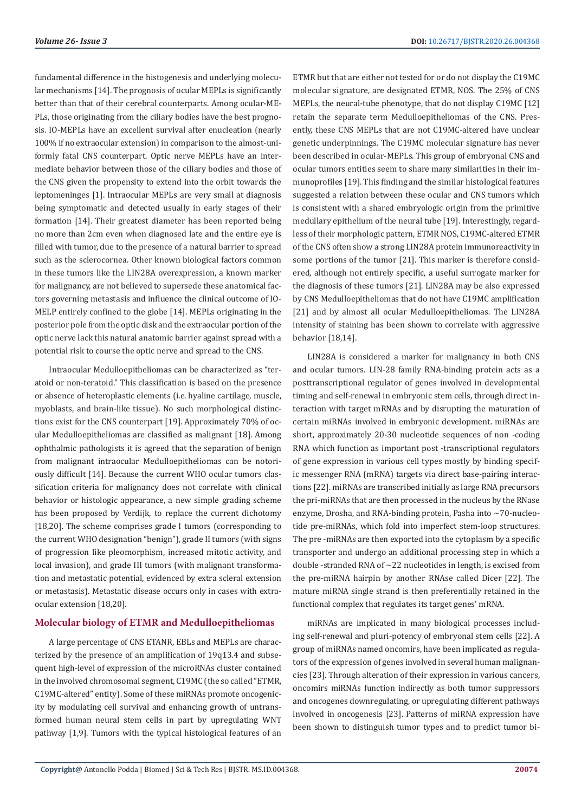fundamental difference in the histogenesis and underlying molecular mechanisms [14]. The prognosis of ocular MEPLs is significantly better than that of their cerebral counterparts. Among ocular-ME-PLs, those originating from the ciliary bodies have the best prognosis. IO-MEPLs have an excellent survival after enucleation (nearly 100% if no extraocular extension) in comparison to the almost-uniformly fatal CNS counterpart. Optic nerve MEPLs have an intermediate behavior between those of the ciliary bodies and those of the CNS given the propensity to extend into the orbit towards the leptomeninges [1]. Intraocular MEPLs are very small at diagnosis being symptomatic and detected usually in early stages of their formation [14]. Their greatest diameter has been reported being no more than 2cm even when diagnosed late and the entire eye is filled with tumor, due to the presence of a natural barrier to spread such as the sclerocornea. Other known biological factors common in these tumors like the LIN28A overexpression, a known marker for malignancy, are not believed to supersede these anatomical factors governing metastasis and influence the clinical outcome of IO-MELP entirely confined to the globe [14]. MEPLs originating in the posterior pole from the optic disk and the extraocular portion of the optic nerve lack this natural anatomic barrier against spread with a potential risk to course the optic nerve and spread to the CNS.

Intraocular Medulloepitheliomas can be characterized as "teratoid or non-teratoid." This classification is based on the presence or absence of heteroplastic elements (i.e. hyaline cartilage, muscle, myoblasts, and brain-like tissue). No such morphological distinctions exist for the CNS counterpart [19]. Approximately 70% of ocular Medulloepitheliomas are classified as malignant [18]. Among ophthalmic pathologists it is agreed that the separation of benign from malignant intraocular Medulloepitheliomas can be notoriously difficult [14]. Because the current WHO ocular tumors classification criteria for malignancy does not correlate with clinical behavior or histologic appearance, a new simple grading scheme has been proposed by Verdijk, to replace the current dichotomy [18,20]. The scheme comprises grade I tumors (corresponding to the current WHO designation "benign"), grade II tumors (with signs of progression like pleomorphism, increased mitotic activity, and local invasion), and grade III tumors (with malignant transformation and metastatic potential, evidenced by extra scleral extension or metastasis). Metastatic disease occurs only in cases with extraocular extension [18,20].

# **Molecular biology of ETMR and Medulloepitheliomas**

A large percentage of CNS ETANR, EBLs and MEPLs are characterized by the presence of an amplification of 19q13.4 and subsequent high-level of expression of the microRNAs cluster contained in the involved chromosomal segment, C19MC (the so called "ETMR, C19MC-altered" entity). Some of these miRNAs promote oncogenicity by modulating cell survival and enhancing growth of untransformed human neural stem cells in part by upregulating WNT pathway [1,9]. Tumors with the typical histological features of an

ETMR but that are either not tested for or do not display the C19MC molecular signature, are designated ETMR, NOS. The 25% of CNS MEPLs, the neural-tube phenotype, that do not display C19MC [12] retain the separate term Medulloepitheliomas of the CNS. Presently, these CNS MEPLs that are not C19MC-altered have unclear genetic underpinnings. The C19MC molecular signature has never been described in ocular-MEPLs. This group of embryonal CNS and ocular tumors entities seem to share many similarities in their immunoprofiles [19]. This finding and the similar histological features suggested a relation between these ocular and CNS tumors which is consistent with a shared embryologic origin from the primitive medullary epithelium of the neural tube [19]. Interestingly, regardless of their morphologic pattern, ETMR NOS, C19MC-altered ETMR of the CNS often show a strong LIN28A protein immunoreactivity in some portions of the tumor [21]. This marker is therefore considered, although not entirely specific, a useful surrogate marker for the diagnosis of these tumors [21]. LIN28A may be also expressed by CNS Medulloepitheliomas that do not have C19MC amplification [21] and by almost all ocular Medulloepitheliomas. The LIN28A intensity of staining has been shown to correlate with aggressive behavior [18,14].

LIN28A is considered a marker for malignancy in both CNS and ocular tumors. LIN-28 family RNA-binding protein acts as a posttranscriptional regulator of genes involved in developmental timing and self-renewal in embryonic stem cells, through direct interaction with target mRNAs and by disrupting the maturation of certain miRNAs involved in embryonic development. miRNAs are short, approximately 20-30 nucleotide sequences of non -coding RNA which function as important post -transcriptional regulators of gene expression in various cell types mostly by binding specific messenger RNA (mRNA) targets via direct base-pairing interactions [22]. miRNAs are transcribed initially as large RNA precursors the pri-miRNAs that are then processed in the nucleus by the RNase enzyme, Drosha, and RNA-binding protein, Pasha into ~70-nucleotide pre-miRNAs, which fold into imperfect stem-loop structures. The pre -miRNAs are then exported into the cytoplasm by a specific transporter and undergo an additional processing step in which a double -stranded RNA of  $\sim$  22 nucleotides in length, is excised from the pre-miRNA hairpin by another RNAse called Dicer [22]. The mature miRNA single strand is then preferentially retained in the functional complex that regulates its target genes' mRNA.

miRNAs are implicated in many biological processes including self-renewal and pluri-potency of embryonal stem cells [22]. A group of miRNAs named oncomirs, have been implicated as regulators of the expression of genes involved in several human malignancies [23]. Through alteration of their expression in various cancers, oncomirs miRNAs function indirectly as both tumor suppressors and oncogenes downregulating, or upregulating different pathways involved in oncogenesis [23]. Patterns of miRNA expression have been shown to distinguish tumor types and to predict tumor bi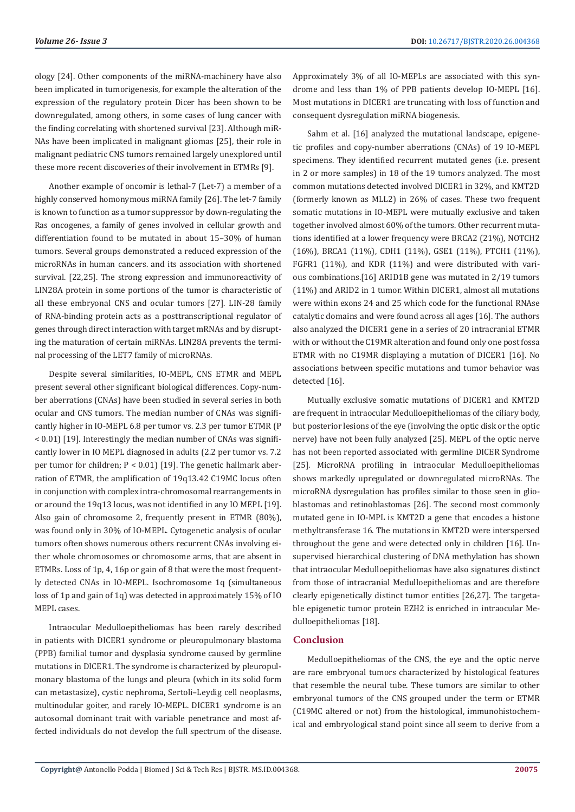ology [24]. Other components of the miRNA-machinery have also been implicated in tumorigenesis, for example the alteration of the expression of the regulatory protein Dicer has been shown to be downregulated, among others, in some cases of lung cancer with the finding correlating with shortened survival [23]. Although miR-NAs have been implicated in malignant gliomas [25], their role in malignant pediatric CNS tumors remained largely unexplored until these more recent discoveries of their involvement in ETMRs [9].

Another example of oncomir is lethal-7 (Let-7) a member of a highly conserved homonymous miRNA family [26]. The let-7 family is known to function as a tumor suppressor by down-regulating the Ras oncogenes, a family of genes involved in cellular growth and differentiation found to be mutated in about 15–30% of human tumors. Several groups demonstrated a reduced expression of the microRNAs in human cancers. and its association with shortened survival. [22,25]. The strong expression and immunoreactivity of LIN28A protein in some portions of the tumor is characteristic of all these embryonal CNS and ocular tumors [27]. LIN-28 family of RNA-binding protein acts as a posttranscriptional regulator of genes through direct interaction with target mRNAs and by disrupting the maturation of certain miRNAs. LIN28A prevents the terminal processing of the LET7 family of microRNAs.

Despite several similarities, IO-MEPL, CNS ETMR and MEPL present several other significant biological differences. Copy-number aberrations (CNAs) have been studied in several series in both ocular and CNS tumors. The median number of CNAs was significantly higher in IO-MEPL 6.8 per tumor vs. 2.3 per tumor ETMR (P < 0.01) [19]. Interestingly the median number of CNAs was significantly lower in IO MEPL diagnosed in adults (2.2 per tumor vs. 7.2 per tumor for children; P < 0.01) [19]. The genetic hallmark aberration of ETMR, the amplification of 19q13.42 C19MC locus often in conjunction with complex intra-chromosomal rearrangements in or around the 19q13 locus, was not identified in any IO MEPL [19]. Also gain of chromosome 2, frequently present in ETMR (80%), was found only in 30% of IO-MEPL. Cytogenetic analysis of ocular tumors often shows numerous others recurrent CNAs involving either whole chromosomes or chromosome arms, that are absent in ETMRs. Loss of 1p, 4, 16p or gain of 8 that were the most frequently detected CNAs in IO-MEPL. Isochromosome 1q (simultaneous loss of 1p and gain of 1q) was detected in approximately 15% of IO MEPL cases.

Intraocular Medulloepitheliomas has been rarely described in patients with DICER1 syndrome or pleuropulmonary blastoma (PPB) familial tumor and dysplasia syndrome caused by germline mutations in DICER1. The syndrome is characterized by pleuropulmonary blastoma of the lungs and pleura (which in its solid form can metastasize), cystic nephroma, Sertoli–Leydig cell neoplasms, multinodular goiter, and rarely IO-MEPL. DICER1 syndrome is an autosomal dominant trait with variable penetrance and most affected individuals do not develop the full spectrum of the disease.

Approximately 3% of all IO-MEPLs are associated with this syndrome and less than 1% of PPB patients develop IO-MEPL [16]. Most mutations in DICER1 are truncating with loss of function and consequent dysregulation miRNA biogenesis.

Sahm et al. [16] analyzed the mutational landscape, epigenetic profiles and copy-number aberrations (CNAs) of 19 IO-MEPL specimens. They identified recurrent mutated genes (i.e. present in 2 or more samples) in 18 of the 19 tumors analyzed. The most common mutations detected involved DICER1 in 32%, and KMT2D (formerly known as MLL2) in 26% of cases. These two frequent somatic mutations in IO-MEPL were mutually exclusive and taken together involved almost 60% of the tumors. Other recurrent mutations identified at a lower frequency were BRCA2 (21%), NOTCH2 (16%), BRCA1 (11%), CDH1 (11%), GSE1 (11%), PTCH1 (11%), FGFR1 (11%), and KDR (11%) and were distributed with various combinations.[16] ARID1B gene was mutated in 2/19 tumors (11%) and ARID2 in 1 tumor. Within DICER1, almost all mutations were within exons 24 and 25 which code for the functional RNAse catalytic domains and were found across all ages [16]. The authors also analyzed the DICER1 gene in a series of 20 intracranial ETMR with or without the C19MR alteration and found only one post fossa ETMR with no C19MR displaying a mutation of DICER1 [16]. No associations between specific mutations and tumor behavior was detected [16].

Mutually exclusive somatic mutations of DICER1 and KMT2D are frequent in intraocular Medulloepitheliomas of the ciliary body, but posterior lesions of the eye (involving the optic disk or the optic nerve) have not been fully analyzed [25]. MEPL of the optic nerve has not been reported associated with germline DICER Syndrome [25]. MicroRNA profiling in intraocular Medulloepitheliomas shows markedly upregulated or downregulated microRNAs. The microRNA dysregulation has profiles similar to those seen in glioblastomas and retinoblastomas [26]. The second most commonly mutated gene in IO-MPL is KMT2D a gene that encodes a histone methyltransferase 16. The mutations in KMT2D were interspersed throughout the gene and were detected only in children [16]. Unsupervised hierarchical clustering of DNA methylation has shown that intraocular Medulloepitheliomas have also signatures distinct from those of intracranial Medulloepitheliomas and are therefore clearly epigenetically distinct tumor entities [26,27]. The targetable epigenetic tumor protein EZH2 is enriched in intraocular Medulloepitheliomas [18].

# **Conclusion**

Medulloepitheliomas of the CNS, the eye and the optic nerve are rare embryonal tumors characterized by histological features that resemble the neural tube. These tumors are similar to other embryonal tumors of the CNS grouped under the term or ETMR (C19MC altered or not) from the histological, immunohistochemical and embryological stand point since all seem to derive from a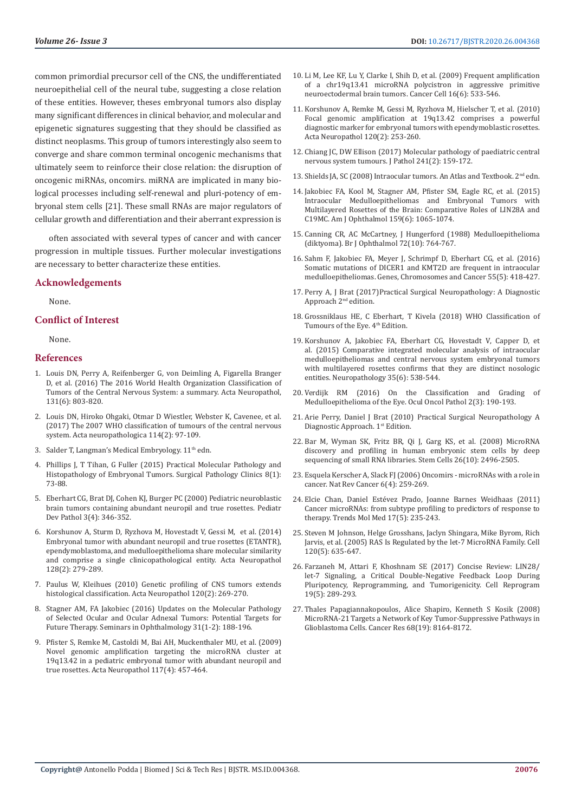common primordial precursor cell of the CNS, the undifferentiated neuroepithelial cell of the neural tube, suggesting a close relation of these entities. However, theses embryonal tumors also display many significant differences in clinical behavior, and molecular and epigenetic signatures suggesting that they should be classified as distinct neoplasms. This group of tumors interestingly also seem to converge and share common terminal oncogenic mechanisms that ultimately seem to reinforce their close relation: the disruption of oncogenic miRNAs, oncomirs. miRNA are implicated in many biological processes including self-renewal and pluri-potency of embryonal stem cells [21]. These small RNAs are major regulators of cellular growth and differentiation and their aberrant expression is

often associated with several types of cancer and with cancer progression in multiple tissues. Further molecular investigations are necessary to better characterize these entities.

#### **Acknowledgements**

None.

#### **Conflict of Interest**

None.

#### **References**

- 1. [Louis DN, Perry A, Reifenberger G, von Deimling A, Figarella Branger](https://www.ncbi.nlm.nih.gov/pubmed/27157931)  [D, et al. \(2016\) The 2016 World Health Organization Classification of](https://www.ncbi.nlm.nih.gov/pubmed/27157931)  [Tumors of the Central Nervous System: a summary. Acta Neuropathol,](https://www.ncbi.nlm.nih.gov/pubmed/27157931)  [131\(6\): 803-820.](https://www.ncbi.nlm.nih.gov/pubmed/27157931)
- 2. [Louis DN, Hiroko Ohgaki, Otmar D Wiestler, Webster K, Cavenee, et al.](https://www.ncbi.nlm.nih.gov/pmc/articles/PMC1929165/)  [\(2017\) The 2007 WHO classification of tumours of the central nervous](https://www.ncbi.nlm.nih.gov/pmc/articles/PMC1929165/)  [system. Acta neuropathologica 114\(2\): 97-109.](https://www.ncbi.nlm.nih.gov/pmc/articles/PMC1929165/)
- 3. Salder T, Langman's Medical Embryology.  $11<sup>th</sup>$  edn.
- 4. [Phillips J, T Tihan, G Fuller \(2015\) Practical Molecular Pathology and](https://www.surgpath.theclinics.com/article/S1875-9181(14)00111-1/abstract)  [Histopathology of Embryonal Tumors. Surgical Pathology Clinics 8\(1\):](https://www.surgpath.theclinics.com/article/S1875-9181(14)00111-1/abstract)  [73-88.](https://www.surgpath.theclinics.com/article/S1875-9181(14)00111-1/abstract)
- 5. [Eberhart CG, Brat DJ, Cohen KJ, Burger PC \(2000\) Pediatric neuroblastic](https://www.ncbi.nlm.nih.gov/pubmed/10890250)  [brain tumors containing abundant neuropil and true rosettes. Pediatr](https://www.ncbi.nlm.nih.gov/pubmed/10890250)  [Dev Pathol 3\(4\): 346-352.](https://www.ncbi.nlm.nih.gov/pubmed/10890250)
- 6. [Korshunov A, Sturm D, Ryzhova M, Hovestadt V, Gessi M, et al. \(2014\)](https://www.ncbi.nlm.nih.gov/pubmed/24337497)  [Embryonal tumor with abundant neuropil and true rosettes \(ETANTR\),](https://www.ncbi.nlm.nih.gov/pubmed/24337497)  [ependymoblastoma, and medulloepithelioma share molecular similarity](https://www.ncbi.nlm.nih.gov/pubmed/24337497)  [and comprise a single clinicopathological entity. Acta Neuropathol](https://www.ncbi.nlm.nih.gov/pubmed/24337497)  [128\(2\): 279-289.](https://www.ncbi.nlm.nih.gov/pubmed/24337497)
- 7. [Paulus W, Kleihues \(2010\) Genetic profiling of CNS tumors extends](https://www.ncbi.nlm.nih.gov/pubmed/20532895)  [histological classification. Acta Neuropathol 120\(2\): 269-270.](https://www.ncbi.nlm.nih.gov/pubmed/20532895)
- 8. [Stagner AM, FA Jakobiec \(2016\) Updates on the Molecular Pathology](https://www.ncbi.nlm.nih.gov/pubmed/26959146)  [of Selected Ocular and Ocular Adnexal Tumors: Potential Targets for](https://www.ncbi.nlm.nih.gov/pubmed/26959146)  [Future Therapy. Seminars in Ophthalmology 31\(1-2\): 188-196.](https://www.ncbi.nlm.nih.gov/pubmed/26959146)
- 9. [Pfister S, Remke M, Castoldi M, Bai AH, Muckenthaler MU, et al. \(2009\)](https://www.ncbi.nlm.nih.gov/pubmed/19057917)  [Novel genomic amplification targeting the microRNA cluster at](https://www.ncbi.nlm.nih.gov/pubmed/19057917)  [19q13.42 in a pediatric embryonal tumor with abundant neuropil and](https://www.ncbi.nlm.nih.gov/pubmed/19057917)  [true rosettes. Acta Neuropathol 117\(4\): 457-464.](https://www.ncbi.nlm.nih.gov/pubmed/19057917)
- 10. [Li M, Lee KF, Lu Y, Clarke I, Shih D, et al. \(2009\) Frequent amplification](https://www.ncbi.nlm.nih.gov/pubmed/19962671) [of a chr19q13.41 microRNA polycistron in aggressive primitive](https://www.ncbi.nlm.nih.gov/pubmed/19962671) [neuroectodermal brain tumors. Cancer Cell 16\(6\): 533-546.](https://www.ncbi.nlm.nih.gov/pubmed/19962671)
- 11. [Korshunov A, Remke M, Gessi M, Ryzhova M, Hielscher T, et al. \(2010\)](https://www.ncbi.nlm.nih.gov/pubmed/20407781) [Focal genomic amplification at 19q13.42 comprises a powerful](https://www.ncbi.nlm.nih.gov/pubmed/20407781) [diagnostic marker for embryonal tumors with ependymoblastic rosettes.](https://www.ncbi.nlm.nih.gov/pubmed/20407781) [Acta Neuropathol 120\(2\): 253-260.](https://www.ncbi.nlm.nih.gov/pubmed/20407781)
- 12. [Chiang JC, DW Ellison \(2017\) Molecular pathology of paediatric central](https://www.ncbi.nlm.nih.gov/pubmed/27701736) [nervous system tumours. J Pathol 241\(2\): 159-172.](https://www.ncbi.nlm.nih.gov/pubmed/27701736)
- 13. [Shields JA, SC \(2008\) Intraocular tumors. An Atlas and Textbook. 2nd edn.](https://shop.lww.com/Intraocular-Tumors--An-Atlas-and-Textbook/p/9781496321343)
- 14. [Jakobiec FA, Kool M, Stagner AM, Pfister SM, Eagle RC, et al. \(2015\)](https://www.ncbi.nlm.nih.gov/pubmed/25748578) [Intraocular Medulloepitheliomas and Embryonal Tumors with](https://www.ncbi.nlm.nih.gov/pubmed/25748578) [Multilayered Rosettes of the Brain: Comparative Roles of LIN28A and](https://www.ncbi.nlm.nih.gov/pubmed/25748578) [C19MC. Am J Ophthalmol 159\(6\): 1065-1074.](https://www.ncbi.nlm.nih.gov/pubmed/25748578)
- 15. [Canning CR, AC McCartney, J Hungerford \(1988\) Medulloepithelioma](https://www.ncbi.nlm.nih.gov/pubmed/3056510) [\(diktyoma\). Br J Ophthalmol 72\(10\): 764-767.](https://www.ncbi.nlm.nih.gov/pubmed/3056510)
- 16. [Sahm F, Jakobiec FA, Meyer J, Schrimpf D, Eberhart CG, et al. \(2016\)](https://www.ncbi.nlm.nih.gov/pubmed/26841698) [Somatic mutations of DICER1 and KMT2D are frequent in intraocular](https://www.ncbi.nlm.nih.gov/pubmed/26841698) [medulloepitheliomas. Genes, Chromosomes and Cancer 55\(5\): 418-427.](https://www.ncbi.nlm.nih.gov/pubmed/26841698)
- 17. [Perry A, J Brat \(2017\)Practical Surgical Neuropathology: A Diagnostic](https://www.elsevier.com/books/practical-surgical-neuropathology-a-diagnostic-approach/9780323449410) [Approach 2nd edition.](https://www.elsevier.com/books/practical-surgical-neuropathology-a-diagnostic-approach/9780323449410)
- 18. [Grossniklaus HE, C Eberhart, T Kivela \(2018\) WHO Classification of](https://apps.who.int/bookorders/anglais/detart1.jsp?codlan=1&codcol=70&codcch=4012) Tumours of the Eye. 4<sup>th</sup> Edition.
- 19. [Korshunov A, Jakobiec FA, Eberhart CG, Hovestadt V, Capper D, et](https://www.ncbi.nlm.nih.gov/pubmed/26183384) [al. \(2015\) Comparative integrated molecular analysis of intraocular](https://www.ncbi.nlm.nih.gov/pubmed/26183384) [medulloepitheliomas and central nervous system embryonal tumors](https://www.ncbi.nlm.nih.gov/pubmed/26183384) [with multilayered rosettes confirms that they are distinct nosologic](https://www.ncbi.nlm.nih.gov/pubmed/26183384) [entities. Neuropathology 35\(6\): 538-544.](https://www.ncbi.nlm.nih.gov/pubmed/26183384)
- 20. [Verdijk RM \(2016\) On the Classification and Grading of](https://www.ncbi.nlm.nih.gov/pmc/articles/PMC4881278/) [Medulloepithelioma of the Eye. Ocul Oncol Pathol 2\(3\): 190-193.](https://www.ncbi.nlm.nih.gov/pmc/articles/PMC4881278/)
- 21. [Arie Perry, Daniel J Brat \(2010\) Practical Surgical Neuropathology A](https://www.elsevier.com/books/practical-surgical-neuropathology/9780443069826) [Diagnostic Approach. 1st Edition.](https://www.elsevier.com/books/practical-surgical-neuropathology/9780443069826)
- 22. [Bar M, Wyman SK, Fritz BR, Qi J, Garg KS, et al. \(2008\) MicroRNA](https://www.ncbi.nlm.nih.gov/pubmed/18583537) [discovery and profiling in human embryonic stem cells by deep](https://www.ncbi.nlm.nih.gov/pubmed/18583537) [sequencing of small RNA libraries. Stem Cells 26\(10\): 2496-2505.](https://www.ncbi.nlm.nih.gov/pubmed/18583537)
- 23. [Esquela Kerscher A, Slack FJ \(2006\) Oncomirs microRNAs with a role in](https://www.ncbi.nlm.nih.gov/pubmed/16557279) [cancer. Nat Rev Cancer 6\(4\): 259-269.](https://www.ncbi.nlm.nih.gov/pubmed/16557279)
- 24. [Elcie Chan, Daniel Estévez Prado, Joanne Barnes Weidhaas \(2011\)](https://www.ncbi.nlm.nih.gov/pubmed/21354374) [Cancer microRNAs: from subtype profiling to predictors of response to](https://www.ncbi.nlm.nih.gov/pubmed/21354374) [therapy. Trends Mol Med 17\(5\): 235-243.](https://www.ncbi.nlm.nih.gov/pubmed/21354374)
- 25. [Steven M Johnson, Helge Grosshans, Jaclyn Shingara, Mike Byrom, Rich](https://www.ncbi.nlm.nih.gov/pubmed/15766527) [Jarvis, et al. \(2005\) RAS Is Regulated by the let-7 MicroRNA Family. Cell](https://www.ncbi.nlm.nih.gov/pubmed/15766527) [120\(5\): 635-647.](https://www.ncbi.nlm.nih.gov/pubmed/15766527)
- 26. [Farzaneh M, Attari F, Khoshnam SE \(2017\) Concise Review: LIN28/](https://www.ncbi.nlm.nih.gov/pubmed/28846452) [let-7 Signaling, a Critical Double-Negative Feedback Loop During](https://www.ncbi.nlm.nih.gov/pubmed/28846452) [Pluripotency, Reprogramming, and Tumorigenicity. Cell Reprogram](https://www.ncbi.nlm.nih.gov/pubmed/28846452) [19\(5\): 289-293.](https://www.ncbi.nlm.nih.gov/pubmed/28846452)
- 27. [Thales Papagiannakopoulos, Alice Shapiro, Kenneth S Kosik \(2008\)](https://www.ncbi.nlm.nih.gov/pubmed/18829576) [MicroRNA-21 Targets a Network of Key Tumor-Suppressive Pathways in](https://www.ncbi.nlm.nih.gov/pubmed/18829576) [Glioblastoma Cells. Cancer Res 68\(19\): 8164-8172.](https://www.ncbi.nlm.nih.gov/pubmed/18829576)